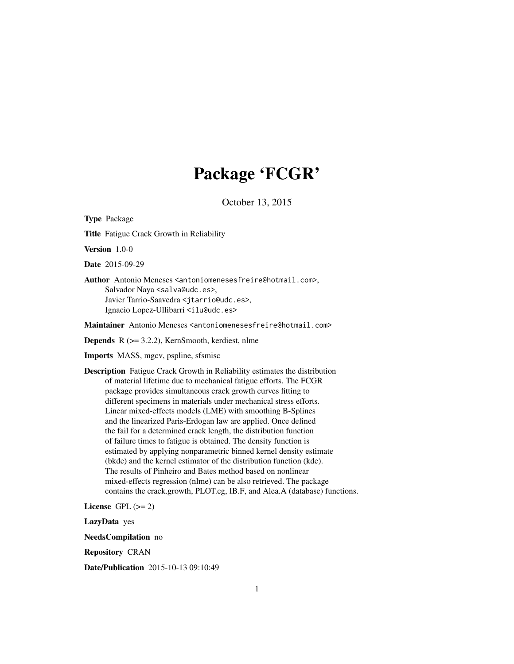## Package 'FCGR'

October 13, 2015

Type Package

Title Fatigue Crack Growth in Reliability

Version 1.0-0

Date 2015-09-29

Author Antonio Meneses <antoniomenesesfreire@hotmail.com>, Salvador Naya <salva@udc.es>, Javier Tarrio-Saavedra <jtarrio@udc.es>, Ignacio Lopez-Ullibarri <ilu@udc.es>

Maintainer Antonio Meneses <antoniomenesesfreire@hotmail.com>

Depends R (>= 3.2.2), KernSmooth, kerdiest, nlme

Imports MASS, mgcv, pspline, sfsmisc

Description Fatigue Crack Growth in Reliability estimates the distribution of material lifetime due to mechanical fatigue efforts. The FCGR package provides simultaneous crack growth curves fitting to different specimens in materials under mechanical stress efforts. Linear mixed-effects models (LME) with smoothing B-Splines and the linearized Paris-Erdogan law are applied. Once defined the fail for a determined crack length, the distribution function of failure times to fatigue is obtained. The density function is estimated by applying nonparametric binned kernel density estimate (bkde) and the kernel estimator of the distribution function (kde). The results of Pinheiro and Bates method based on nonlinear mixed-effects regression (nlme) can be also retrieved. The package contains the crack.growth, PLOT.cg, IB.F, and Alea.A (database) functions.

License GPL  $(>= 2)$ 

LazyData yes

NeedsCompilation no

Repository CRAN

Date/Publication 2015-10-13 09:10:49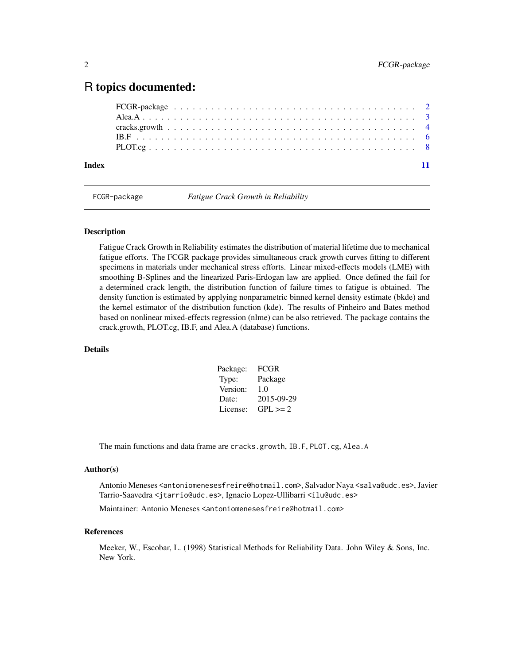### <span id="page-1-0"></span>R topics documented:

| Index |  |  |  |  |  |  |  |  |  |  |  |  |  |  |  |  |  |  |
|-------|--|--|--|--|--|--|--|--|--|--|--|--|--|--|--|--|--|--|

FCGR-package *Fatigue Crack Growth in Reliability*

#### Description

Fatigue Crack Growth in Reliability estimates the distribution of material lifetime due to mechanical fatigue efforts. The FCGR package provides simultaneous crack growth curves fitting to different specimens in materials under mechanical stress efforts. Linear mixed-effects models (LME) with smoothing B-Splines and the linearized Paris-Erdogan law are applied. Once defined the fail for a determined crack length, the distribution function of failure times to fatigue is obtained. The density function is estimated by applying nonparametric binned kernel density estimate (bkde) and the kernel estimator of the distribution function (kde). The results of Pinheiro and Bates method based on nonlinear mixed-effects regression (nlme) can be also retrieved. The package contains the crack.growth, PLOT.cg, IB.F, and Alea.A (database) functions.

#### Details

| Package: | FCGR         |
|----------|--------------|
| Type:    | Package      |
| Version: | 1.0          |
| Date:    | 2015-09-29   |
| License: | $GPL \geq 2$ |

The main functions and data frame are cracks.growth, IB.F, PLOT.cg, Alea.A

#### Author(s)

Antonio Meneses <antoniomenesesfreire@hotmail.com>, Salvador Naya <salva@udc.es>, Javier Tarrio-Saavedra <jtarrio@udc.es>, Ignacio Lopez-Ullibarri <ilu@udc.es>

Maintainer: Antonio Meneses <antoniomenesesfreire@hotmail.com>

#### References

Meeker, W., Escobar, L. (1998) Statistical Methods for Reliability Data. John Wiley & Sons, Inc. New York.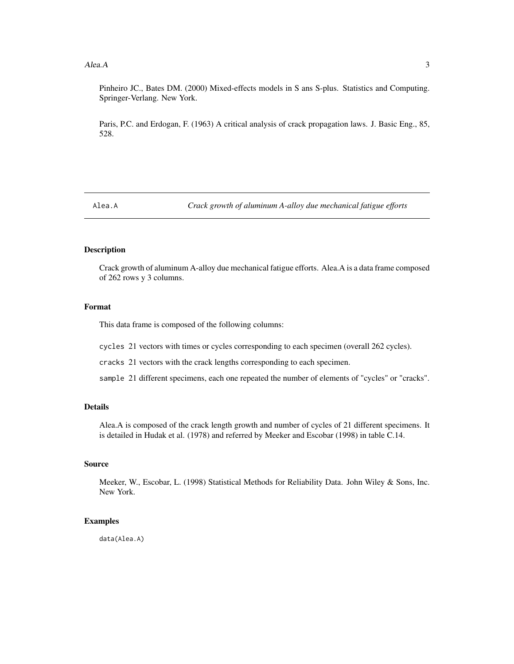#### <span id="page-2-0"></span> $A$ lea.A  $3$

Pinheiro JC., Bates DM. (2000) Mixed-effects models in S ans S-plus. Statistics and Computing. Springer-Verlang. New York.

Paris, P.C. and Erdogan, F. (1963) A critical analysis of crack propagation laws. J. Basic Eng., 85, 528.

Alea.A *Crack growth of aluminum A-alloy due mechanical fatigue efforts*

#### Description

Crack growth of aluminum A-alloy due mechanical fatigue efforts. Alea.A is a data frame composed of 262 rows y 3 columns.

#### Format

This data frame is composed of the following columns:

cycles 21 vectors with times or cycles corresponding to each specimen (overall 262 cycles).

cracks 21 vectors with the crack lengths corresponding to each specimen.

sample 21 different specimens, each one repeated the number of elements of "cycles" or "cracks".

#### Details

Alea.A is composed of the crack length growth and number of cycles of 21 different specimens. It is detailed in Hudak et al. (1978) and referred by Meeker and Escobar (1998) in table C.14.

#### Source

Meeker, W., Escobar, L. (1998) Statistical Methods for Reliability Data. John Wiley & Sons, Inc. New York.

#### Examples

data(Alea.A)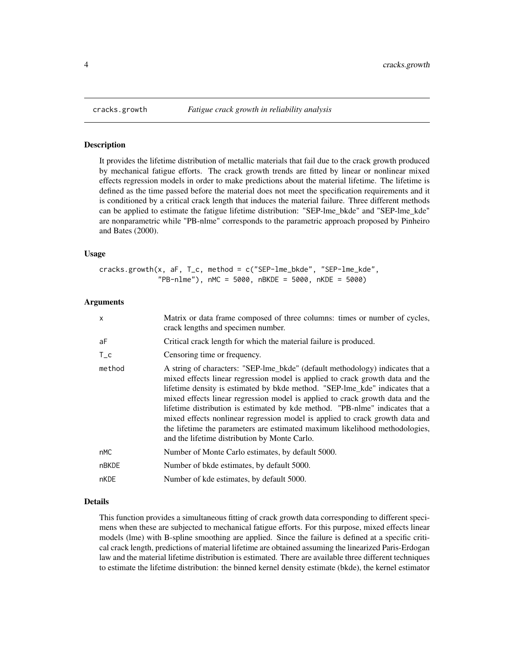<span id="page-3-0"></span>

#### **Description**

It provides the lifetime distribution of metallic materials that fail due to the crack growth produced by mechanical fatigue efforts. The crack growth trends are fitted by linear or nonlinear mixed effects regression models in order to make predictions about the material lifetime. The lifetime is defined as the time passed before the material does not meet the specification requirements and it is conditioned by a critical crack length that induces the material failure. Three different methods can be applied to estimate the fatigue lifetime distribution: "SEP-lme\_bkde" and "SEP-lme\_kde" are nonparametric while "PB-nlme" corresponds to the parametric approach proposed by Pinheiro and Bates (2000).

#### Usage

cracks.growth(x, aF, T\_c, method = c("SEP-lme\_bkde", "SEP-lme\_kde", "PB-nlme"), nMC = 5000, nBKDE = 5000, nKDE = 5000)

#### Arguments

| Matrix or data frame composed of three columns: times or number of cycles,<br>crack lengths and specimen number.                                                                                                                                                                                                                                                                                                                                                                                                                                                                                                                |
|---------------------------------------------------------------------------------------------------------------------------------------------------------------------------------------------------------------------------------------------------------------------------------------------------------------------------------------------------------------------------------------------------------------------------------------------------------------------------------------------------------------------------------------------------------------------------------------------------------------------------------|
| Critical crack length for which the material failure is produced.                                                                                                                                                                                                                                                                                                                                                                                                                                                                                                                                                               |
| Censoring time or frequency.                                                                                                                                                                                                                                                                                                                                                                                                                                                                                                                                                                                                    |
| A string of characters: "SEP-lme_bkde" (default methodology) indicates that a<br>mixed effects linear regression model is applied to crack growth data and the<br>lifetime density is estimated by bkde method. "SEP-lme_kde" indicates that a<br>mixed effects linear regression model is applied to crack growth data and the<br>lifetime distribution is estimated by kde method. "PB-nlme" indicates that a<br>mixed effects nonlinear regression model is applied to crack growth data and<br>the lifetime the parameters are estimated maximum likelihood methodologies,<br>and the lifetime distribution by Monte Carlo. |
| Number of Monte Carlo estimates, by default 5000.                                                                                                                                                                                                                                                                                                                                                                                                                                                                                                                                                                               |
| Number of bkde estimates, by default 5000.                                                                                                                                                                                                                                                                                                                                                                                                                                                                                                                                                                                      |
| Number of kde estimates, by default 5000.                                                                                                                                                                                                                                                                                                                                                                                                                                                                                                                                                                                       |
|                                                                                                                                                                                                                                                                                                                                                                                                                                                                                                                                                                                                                                 |

#### Details

This function provides a simultaneous fitting of crack growth data corresponding to different specimens when these are subjected to mechanical fatigue efforts. For this purpose, mixed effects linear models (lme) with B-spline smoothing are applied. Since the failure is defined at a specific critical crack length, predictions of material lifetime are obtained assuming the linearized Paris-Erdogan law and the material lifetime distribution is estimated. There are available three different techniques to estimate the lifetime distribution: the binned kernel density estimate (bkde), the kernel estimator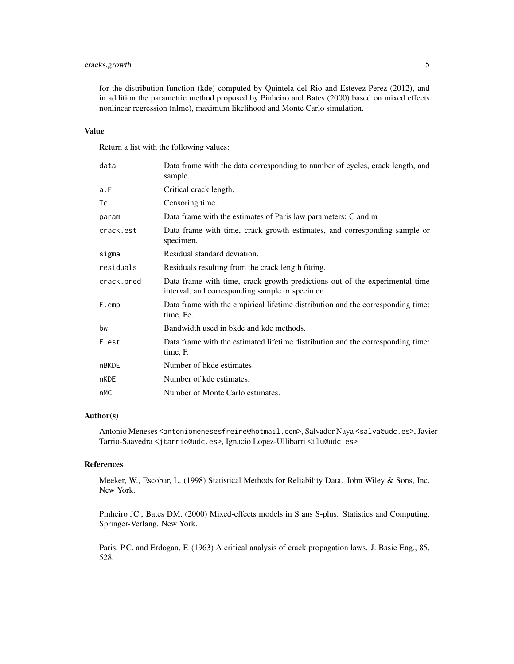#### cracks.growth 5

for the distribution function (kde) computed by Quintela del Rio and Estevez-Perez (2012), and in addition the parametric method proposed by Pinheiro and Bates (2000) based on mixed effects nonlinear regression (nlme), maximum likelihood and Monte Carlo simulation.

#### Value

Return a list with the following values:

| data       | Data frame with the data corresponding to number of cycles, crack length, and<br>sample.                                       |
|------------|--------------------------------------------------------------------------------------------------------------------------------|
| a.F        | Critical crack length.                                                                                                         |
| Тc         | Censoring time.                                                                                                                |
| param      | Data frame with the estimates of Paris law parameters: C and m                                                                 |
| crack.est  | Data frame with time, crack growth estimates, and corresponding sample or<br>specimen.                                         |
| sigma      | Residual standard deviation.                                                                                                   |
| residuals  | Residuals resulting from the crack length fitting.                                                                             |
| crack.pred | Data frame with time, crack growth predictions out of the experimental time<br>interval, and corresponding sample or specimen. |
| F.emp      | Data frame with the empirical lifetime distribution and the corresponding time:<br>time, Fe.                                   |
| bw         | Bandwidth used in bkde and kde methods.                                                                                        |
| F.est      | Data frame with the estimated lifetime distribution and the corresponding time:<br>time, F.                                    |
| nBKDE      | Number of bkde estimates.                                                                                                      |
| nKDE       | Number of kde estimates.                                                                                                       |
| nMC        | Number of Monte Carlo estimates.                                                                                               |

#### Author(s)

Antonio Meneses <antoniomenesesfreire@hotmail.com>, Salvador Naya <salva@udc.es>, Javier Tarrio-Saavedra <jtarrio@udc.es>, Ignacio Lopez-Ullibarri <ilu@udc.es>

#### References

Meeker, W., Escobar, L. (1998) Statistical Methods for Reliability Data. John Wiley & Sons, Inc. New York.

Pinheiro JC., Bates DM. (2000) Mixed-effects models in S ans S-plus. Statistics and Computing. Springer-Verlang. New York.

Paris, P.C. and Erdogan, F. (1963) A critical analysis of crack propagation laws. J. Basic Eng., 85, 528.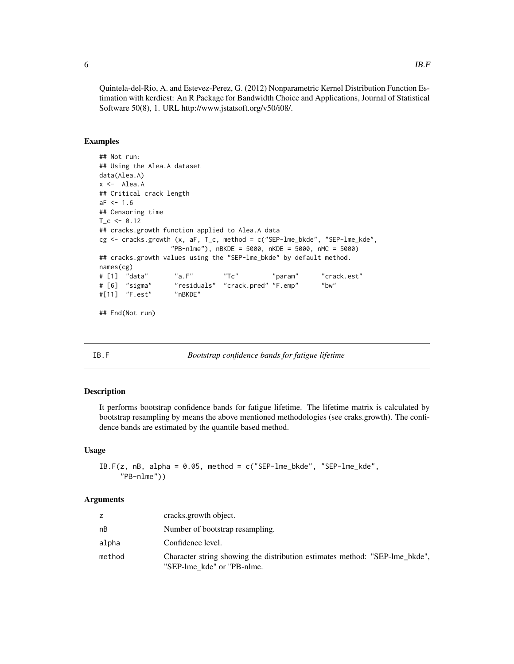Quintela-del-Rio, A. and Estevez-Perez, G. (2012) Nonparametric Kernel Distribution Function Estimation with kerdiest: An R Package for Bandwidth Choice and Applications, Journal of Statistical Software 50(8), 1. URL http://www.jstatsoft.org/v50/i08/.

#### Examples

```
## Not run:
## Using the Alea.A dataset
data(Alea.A)
x <- Alea.A
## Critical crack length
aF < -1.6## Censoring time
T_{C} <- 0.12
## cracks.growth function applied to Alea.A data
cg <- cracks.growth (x, aF, T_c, method = c("SEP-lme_bkde", "SEP-lme_kde",
                 "PB-nlme"), nBKDE = 5000, nKDE = 5000, nMC = 5000)
## cracks.growth values using the "SEP-lme_bkde" by default method.
names(cg)
# [1] "data" "a.F" "Tc" "param" "crack.est"
# [6] "sigma" "residuals" "crack.pred" "F.emp" "bw"
#[11] "F.est" "nBKDE"
```
## End(Not run)

IB.F *Bootstrap confidence bands for fatigue lifetime*

#### Description

It performs bootstrap confidence bands for fatigue lifetime. The lifetime matrix is calculated by bootstrap resampling by means the above mentioned methodologies (see craks.growth). The confidence bands are estimated by the quantile based method.

#### Usage

```
IB.F(z, nB, alpha = 0.05, method = c("SEP-1me_bkde", "SEP-1me_kde","PB-nlme"))
```
#### Arguments

|        | cracks.growth object.                                                                                     |
|--------|-----------------------------------------------------------------------------------------------------------|
| nВ     | Number of bootstrap resampling.                                                                           |
| alpha  | Confidence level.                                                                                         |
| method | Character string showing the distribution estimates method: "SEP-lme_bkde",<br>"SEP-lme kde" or "PB-nlme. |

<span id="page-5-0"></span>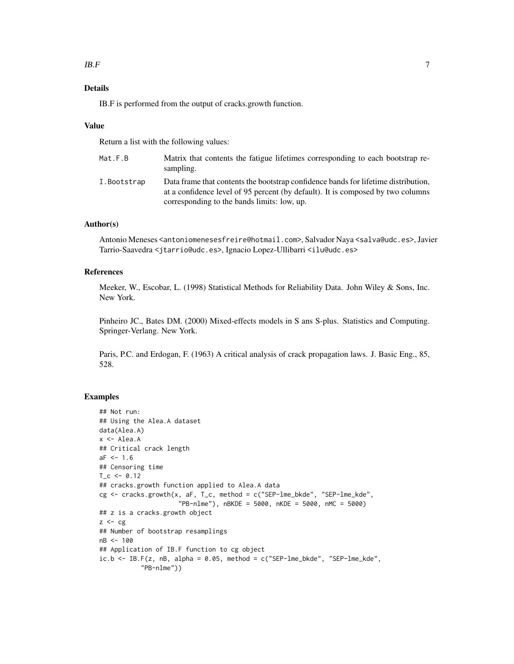#### $IB.F$  7

#### Details

IB.F is performed from the output of cracks.growth function.

#### Value

Return a list with the following values:

| Mat.F.B     | Matrix that contents the fatigue lifetimes corresponding to each bootstrap re-<br>sampling.                                                                                                                          |
|-------------|----------------------------------------------------------------------------------------------------------------------------------------------------------------------------------------------------------------------|
| I.Bootstrap | Data frame that contents the bootstrap confidence bands for lifetime distribution,<br>at a confidence level of 95 percent (by default). It is composed by two columns<br>corresponding to the bands limits: low, up. |

#### Author(s)

Antonio Meneses <antoniomenesesfreire@hotmail.com>, Salvador Naya <salva@udc.es>, Javier Tarrio-Saavedra <jtarrio@udc.es>, Ignacio Lopez-Ullibarri <ilu@udc.es>

#### References

Meeker, W., Escobar, L. (1998) Statistical Methods for Reliability Data. John Wiley & Sons, Inc. New York.

Pinheiro JC., Bates DM. (2000) Mixed-effects models in S ans S-plus. Statistics and Computing. Springer-Verlang. New York.

Paris, P.C. and Erdogan, F. (1963) A critical analysis of crack propagation laws. J. Basic Eng., 85, 528.

#### Examples

```
## Not run:
## Using the Alea.A dataset
data(Alea.A)
x <- Alea.A
## Critical crack length
aF < -1.6## Censoring time
T_c < -0.12## cracks.growth function applied to Alea.A data
cg <- cracks.growth(x, aF, T_c, method = c("SEP-lme_bkde", "SEP-lme_kde",
                     "PB-nlme"), nBKDE = 5000, nKDE = 5000, nMC = 5000)
## z is a cracks.growth object
z \leftarrow cg## Number of bootstrap resamplings
nB <- 100
## Application of IB.F function to cg object
ic.b \leq IB.F(z, nB, alpha = 0.05, method = c("SEP-lme_bkde", "SEP-lme_kde","PB-nlme"))
```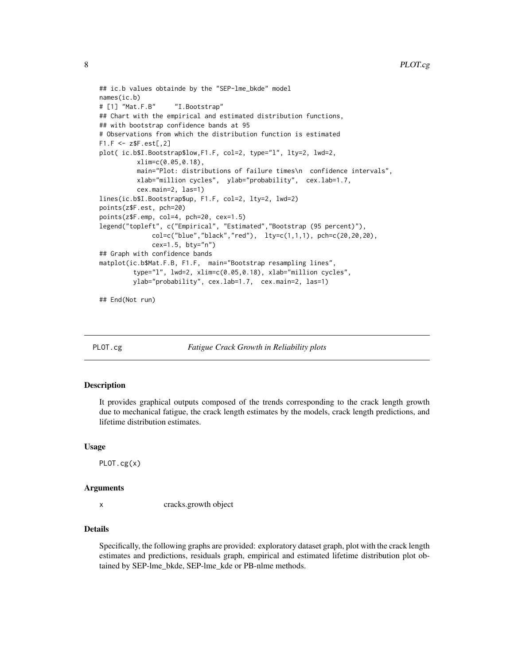```
## ic.b values obtainde by the "SEP-lme_bkde" model
names(ic.b)
# [1] "Mat.F.B" "I.Bootstrap"
## Chart with the empirical and estimated distribution functions,
## with bootstrap confidence bands at 95
# Observations from which the distribution function is estimated
F1.F \leftarrow z$F.set[, 2]plot( ic.b$I.Bootstrap$low,F1.F, col=2, type="l", lty=2, lwd=2,
          xlim=c(0.05,0.18),
         main="Plot: distributions of failure times\n confidence intervals",
         xlab="million cycles", ylab="probability", cex.lab=1.7,
          cex.main=2, las=1)
lines(ic.b$I.Bootstrap$up, F1.F, col=2, lty=2, lwd=2)
points(z$F.est, pch=20)
points(z$F.emp, col=4, pch=20, cex=1.5)
legend("topleft", c("Empirical", "Estimated","Bootstrap (95 percent)"),
              col=c("blue","black","red"), lty=c(1,1,1), pch=c(20,20,20),
              cex=1.5, bty="n")
## Graph with confidence bands
matplot(ic.b$Mat.F.B, F1.F, main="Bootstrap resampling lines",
         type="l", lwd=2, xlim=c(0.05,0.18), xlab="million cycles",
        ylab="probability", cex.lab=1.7, cex.main=2, las=1)
## End(Not run)
```
PLOT.cg *Fatigue Crack Growth in Reliability plots*

#### **Description**

It provides graphical outputs composed of the trends corresponding to the crack length growth due to mechanical fatigue, the crack length estimates by the models, crack length predictions, and lifetime distribution estimates.

#### Usage

PLOT.cg(x)

#### Arguments

x cracks.growth object

#### Details

Specifically, the following graphs are provided: exploratory dataset graph, plot with the crack length estimates and predictions, residuals graph, empirical and estimated lifetime distribution plot obtained by SEP-lme\_bkde, SEP-lme\_kde or PB-nlme methods.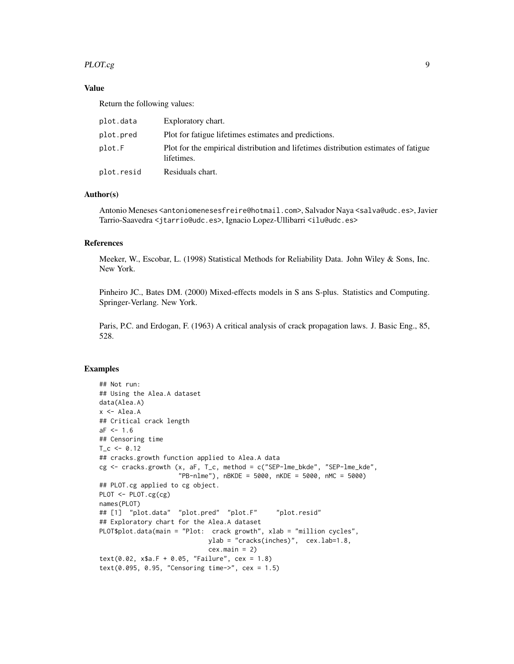#### PLOT.cg 9

#### Value

Return the following values:

| plot.data  | Exploratory chart.                                                                                |
|------------|---------------------------------------------------------------------------------------------------|
| plot.pred  | Plot for fatigue lifetimes estimates and predictions.                                             |
| plot.F     | Plot for the empirical distribution and lifetimes distribution estimates of fatigue<br>lifetimes. |
| plot.resid | Residuals chart.                                                                                  |

#### Author(s)

Antonio Meneses <antoniomenesesfreire@hotmail.com>, Salvador Naya <salva@udc.es>, Javier Tarrio-Saavedra <jtarrio@udc.es>, Ignacio Lopez-Ullibarri <ilu@udc.es>

#### References

Meeker, W., Escobar, L. (1998) Statistical Methods for Reliability Data. John Wiley & Sons, Inc. New York.

Pinheiro JC., Bates DM. (2000) Mixed-effects models in S ans S-plus. Statistics and Computing. Springer-Verlang. New York.

Paris, P.C. and Erdogan, F. (1963) A critical analysis of crack propagation laws. J. Basic Eng., 85, 528.

#### Examples

```
## Not run:
## Using the Alea.A dataset
data(Alea.A)
x <- Alea.A
## Critical crack length
aF < -1.6## Censoring time
T_c < -0.12## cracks.growth function applied to Alea.A data
cg <- cracks.growth (x, aF, T_c, method = c("SEP-lme_bkde", "SEP-lme_kde",
                     "PB-nlme"), nBKDE = 5000, nKDE = 5000, nMC = 5000)
## PLOT.cg applied to cg object.
PLOT <- PLOT.cg(cg)
names(PLOT)
## [1] "plot.data" "plot.pred" "plot.F" "plot.resid"
## Exploratory chart for the Alea.A dataset
PLOT$plot.data(main = "Plot: crack growth", xlab = "million cycles",
                            ylab = "cracks(inches)", cex.lab=1.8,
                            cex.main = 2)text(0.02, x$a.F + 0.05, "Failure", cex = 1.8)text(0.095, 0.95, "Censoring time->", cex = 1.5)
```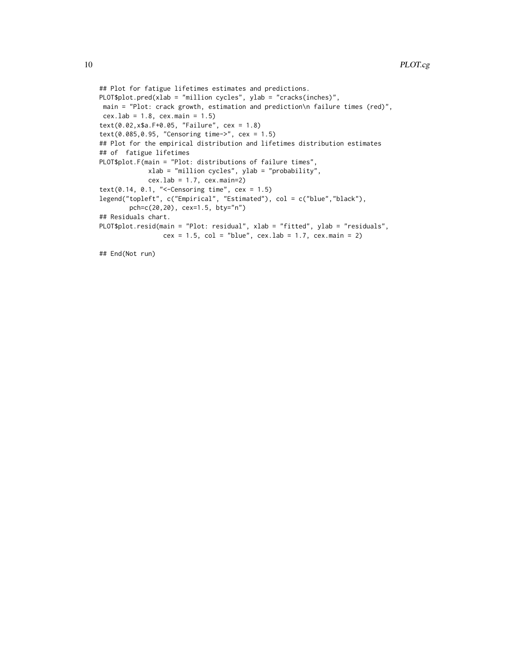```
## Plot for fatigue lifetimes estimates and predictions.
PLOT$plot.pred(xlab = "million cycles", ylab = "cracks(inches)",
main = "Plot: crack growth, estimation and prediction\n failure times (red)",
cex.lab = 1.8, cex.main = 1.5)
text(0.02,x$a.F+0.05, "Failure", cex = 1.8)
text(0.085,0.95, "Censoring time->", cex = 1.5)
## Plot for the empirical distribution and lifetimes distribution estimates
## of fatigue lifetimes
PLOT$plot.F(main = "Plot: distributions of failure times",
            xlab = "million cycles", ylab = "probability",
             cex.lab = 1.7, cex.main=2)text(0.14, 0.1, "<-Censoring time", cex = 1.5)legend("topleft", c("Empirical", "Estimated"), col = c("blue","black"),
        pch=c(20,20), cex=1.5, bty="n")
## Residuals chart.
PLOT$plot.resid(main = "Plot: residual", xlab = "fitted", ylab = "residuals",
                 cex = 1.5, col = "blue", cex.lab = 1.7, cex.main = 2)
```
## End(Not run)